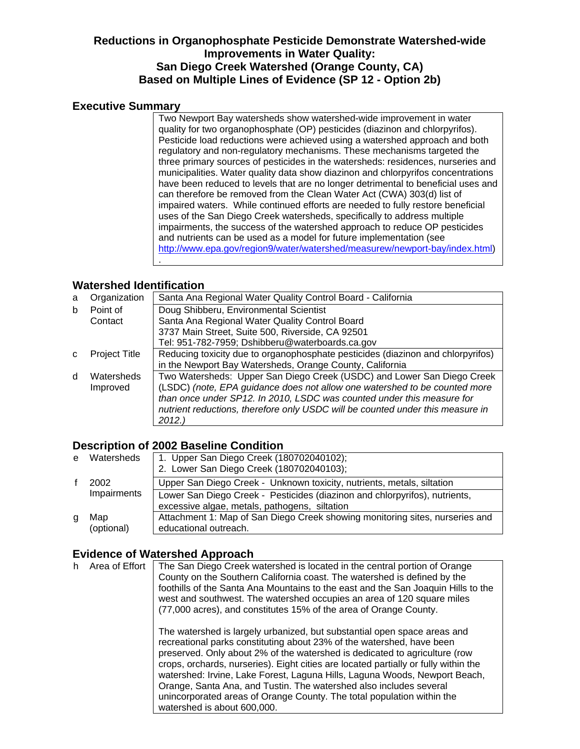# **Reductions in Organophosphate Pesticide Demonstrate Watershed-wide Improvements in Water Quality: San Diego Creek Watershed (Orange County, CA) Based on Multiple Lines of Evidence (SP 12 - Option 2b)**

#### **Executive Summary**

Two Newport Bay watersheds show watershed-wide improvement in water quality for two organophosphate (OP) pesticides (diazinon and chlorpyrifos). Pesticide load reductions were achieved using a watershed approach and both regulatory and non-regulatory mechanisms. These mechanisms targeted the three primary sources of pesticides in the watersheds: residences, nurseries and municipalities. Water quality data show diazinon and chlorpyrifos concentrations have been reduced to levels that are no longer detrimental to beneficial uses and can therefore be removed from the Clean Water Act (CWA) 303(d) list of impaired waters. While continued efforts are needed to fully restore beneficial uses of the San Diego Creek watersheds, specifically to address multiple impairments, the success of the watershed approach to reduce OP pesticides and nutrients can be used as a model for future implementation (see [http://www.epa.gov/region9/water/watershed/measurew/newport-bay/index.html\)](http://www.epa.gov/region9/water/watershed/measurew/newport-bay/index.html) .

### **Watershed Identification**

| a  | Organization         | Santa Ana Regional Water Quality Control Board - California                     |
|----|----------------------|---------------------------------------------------------------------------------|
| b  | Point of             | Doug Shibberu, Environmental Scientist                                          |
|    | Contact              | Santa Ana Regional Water Quality Control Board                                  |
|    |                      | 3737 Main Street, Suite 500, Riverside, CA 92501                                |
|    |                      | Tel: 951-782-7959; Dshibberu@waterboards.ca.gov                                 |
| C. | <b>Project Title</b> | Reducing toxicity due to organophosphate pesticides (diazinon and chlorpyrifos) |
|    |                      | in the Newport Bay Watersheds, Orange County, California                        |
| d  | Watersheds           | Two Watersheds: Upper San Diego Creek (USDC) and Lower San Diego Creek          |
|    | Improved             | (LSDC) (note, EPA guidance does not allow one watershed to be counted more      |
|    |                      | than once under SP12. In 2010, LSDC was counted under this measure for          |
|    |                      | nutrient reductions, therefore only USDC will be counted under this measure in  |
|    |                      | 2012.)                                                                          |

## **Description of 2002 Baseline Condition**

|   | e Watersheds        | 1. Upper San Diego Creek (180702040102);                                     |
|---|---------------------|------------------------------------------------------------------------------|
|   |                     | 2. Lower San Diego Creek (180702040103);                                     |
|   | 2002<br>Impairments | Upper San Diego Creek - Unknown toxicity, nutrients, metals, siltation       |
|   |                     | Lower San Diego Creek - Pesticides (diazinon and chlorpyrifos), nutrients,   |
|   |                     | excessive algae, metals, pathogens, siltation                                |
| g | Map                 | Attachment 1: Map of San Diego Creek showing monitoring sites, nurseries and |
|   | (optional)          | educational outreach.                                                        |

# **Evidence of Watershed Approach**

| h. | Area of Effort | The San Diego Creek watershed is located in the central portion of Orange<br>County on the Southern California coast. The watershed is defined by the<br>foothills of the Santa Ana Mountains to the east and the San Joaquin Hills to the<br>west and southwest. The watershed occupies an area of 120 square miles<br>(77,000 acres), and constitutes 15% of the area of Orange County.                                                                                                                                                                                           |
|----|----------------|-------------------------------------------------------------------------------------------------------------------------------------------------------------------------------------------------------------------------------------------------------------------------------------------------------------------------------------------------------------------------------------------------------------------------------------------------------------------------------------------------------------------------------------------------------------------------------------|
|    |                | The watershed is largely urbanized, but substantial open space areas and<br>recreational parks constituting about 23% of the watershed, have been<br>preserved. Only about 2% of the watershed is dedicated to agriculture (row<br>crops, orchards, nurseries). Eight cities are located partially or fully within the<br>watershed: Irvine, Lake Forest, Laguna Hills, Laguna Woods, Newport Beach,<br>Orange, Santa Ana, and Tustin. The watershed also includes several<br>unincorporated areas of Orange County. The total population within the<br>watershed is about 600,000. |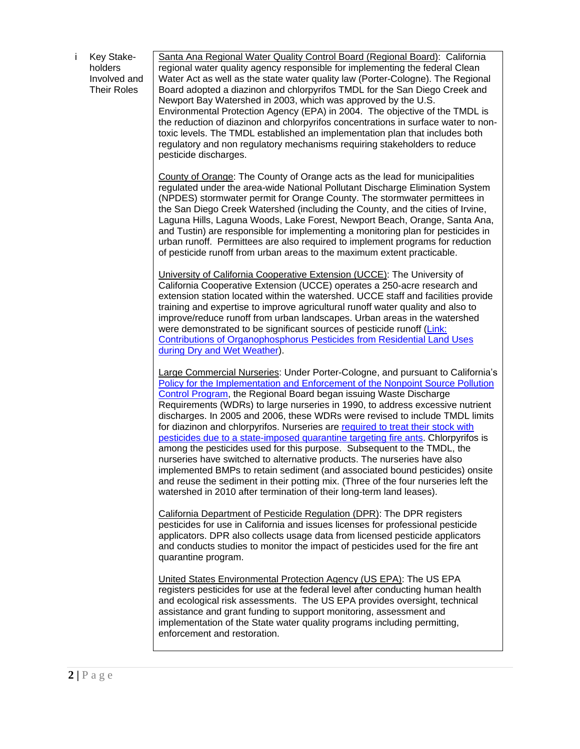i Key Stakeholders Involved and Their Roles

Santa Ana Regional Water Quality Control Board (Regional Board): California regional water quality agency responsible for implementing the federal Clean Water Act as well as the state water quality law (Porter-Cologne). The Regional Board adopted a diazinon and chlorpyrifos TMDL for the San Diego Creek and Newport Bay Watershed in 2003, which was approved by the U.S. Environmental Protection Agency (EPA) in 2004. The objective of the TMDL is the reduction of diazinon and chlorpyrifos concentrations in surface water to nontoxic levels. The TMDL established an implementation plan that includes both regulatory and non regulatory mechanisms requiring stakeholders to reduce pesticide discharges.

County of Orange: The County of Orange acts as the lead for municipalities regulated under the area-wide National Pollutant Discharge Elimination System (NPDES) stormwater permit for Orange County. The stormwater permittees in the San Diego Creek Watershed (including the County, and the cities of Irvine, Laguna Hills, Laguna Woods, Lake Forest, Newport Beach, Orange, Santa Ana, and Tustin) are responsible for implementing a monitoring plan for pesticides in urban runoff. Permittees are also required to implement programs for reduction of pesticide runoff from urban areas to the maximum extent practicable.

University of California Cooperative Extension (UCCE): The University of California Cooperative Extension (UCCE) operates a 250-acre research and extension station located within the watershed. UCCE staff and facilities provide training and expertise to improve agricultural runoff water quality and also to improve/reduce runoff from urban landscapes. Urban areas in the watershed were demonstrated to be significant sources of pesticide runoff [\(Link:](http://www.cdpr.ca.gov/docs/emon/surfwtr/contracts/sccwrp_rpt_406.pdf) [Contributions of Organophosphorus Pesticides](http://www.cdpr.ca.gov/docs/emon/surfwtr/contracts/sccwrp_rpt_406.pdf) from Residential Land Uses [during Dry and Wet Weather\)](http://www.cdpr.ca.gov/docs/emon/surfwtr/contracts/sccwrp_rpt_406.pdf).

Large Commercial Nurseries: Under Porter-Cologne, and pursuant to California's [Policy for the Implementation and Enforcement of the Nonpoint Source Pollution](http://www.waterboards.ca.gov/water_issues/programs/nps/docs/oalfinalcopy052604.pdf)  [Control Program,](http://www.waterboards.ca.gov/water_issues/programs/nps/docs/oalfinalcopy052604.pdf) the Regional Board began issuing Waste Discharge Requirements (WDRs) to large nurseries in 1990, to address excessive nutrient discharges. In 2005 and 2006, these WDRs were revised to include TMDL limits for diazinon and chlorpyrifos. Nurseries are [required to treat their stock with](http://www.cdpr.ca.gov/docs/emon/pubs/ehapreps/EH0502.pdf)  [pesticides due to a state-imposed quarantine targeting fire ants.](http://www.cdpr.ca.gov/docs/emon/pubs/ehapreps/EH0502.pdf) Chlorpyrifos is among the pesticides used for this purpose. Subsequent to the TMDL, the nurseries have switched to alternative products. The nurseries have also implemented BMPs to retain sediment (and associated bound pesticides) onsite and reuse the sediment in their potting mix. (Three of the four nurseries left the watershed in 2010 after termination of their long-term land leases).

California Department of Pesticide Regulation (DPR): The DPR registers pesticides for use in California and issues licenses for professional pesticide applicators. DPR also collects usage data from licensed pesticide applicators and conducts studies to monitor the impact of pesticides used for the fire ant quarantine program.

United States Environmental Protection Agency (US EPA): The US EPA registers pesticides for use at the federal level after conducting human health and ecological risk assessments. The US EPA provides oversight, technical assistance and grant funding to support monitoring, assessment and implementation of the State water quality programs including permitting, enforcement and restoration.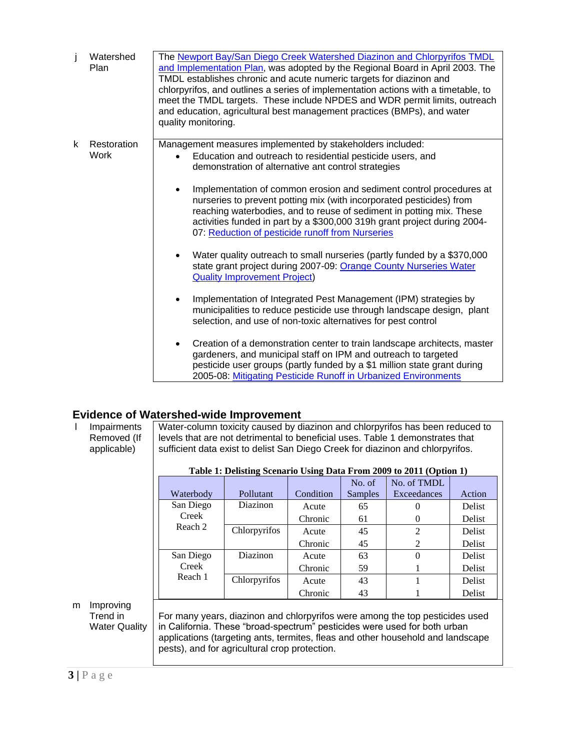|   | Watershed<br>Plan   | The Newport Bay/San Diego Creek Watershed Diazinon and Chlorpyrifos TMDL<br>and Implementation Plan, was adopted by the Regional Board in April 2003. The<br>TMDL establishes chronic and acute numeric targets for diazinon and<br>chlorpyrifos, and outlines a series of implementation actions with a timetable, to<br>meet the TMDL targets. These include NPDES and WDR permit limits, outreach<br>and education, agricultural best management practices (BMPs), and water<br>quality monitoring.                                                                                                                                                                                                                                                                                                                                                                                                                                                                                                                                                                                                                                                                                                                                               |
|---|---------------------|------------------------------------------------------------------------------------------------------------------------------------------------------------------------------------------------------------------------------------------------------------------------------------------------------------------------------------------------------------------------------------------------------------------------------------------------------------------------------------------------------------------------------------------------------------------------------------------------------------------------------------------------------------------------------------------------------------------------------------------------------------------------------------------------------------------------------------------------------------------------------------------------------------------------------------------------------------------------------------------------------------------------------------------------------------------------------------------------------------------------------------------------------------------------------------------------------------------------------------------------------|
| k | Restoration<br>Work | Management measures implemented by stakeholders included:<br>Education and outreach to residential pesticide users, and<br>demonstration of alternative ant control strategies<br>Implementation of common erosion and sediment control procedures at<br>nurseries to prevent potting mix (with incorporated pesticides) from<br>reaching waterbodies, and to reuse of sediment in potting mix. These<br>activities funded in part by a \$300,000 319h grant project during 2004-<br>07: Reduction of pesticide runoff from Nurseries<br>Water quality outreach to small nurseries (partly funded by a \$370,000<br>state grant project during 2007-09: Orange County Nurseries Water<br><b>Quality Improvement Project)</b><br>Implementation of Integrated Pest Management (IPM) strategies by<br>$\bullet$<br>municipalities to reduce pesticide use through landscape design, plant<br>selection, and use of non-toxic alternatives for pest control<br>Creation of a demonstration center to train landscape architects, master<br>gardeners, and municipal staff on IPM and outreach to targeted<br>pesticide user groups (partly funded by a \$1 million state grant during<br>2005-08: Mitigating Pesticide Runoff in Urbanized Environments |

# **Evidence of Watershed-wide Improvement**

<span id="page-2-0"></span>

|   | Impairments<br>Removed (If<br>applicable)     | Water-column toxicity caused by diazinon and chlorpyrifos has been reduced to<br>levels that are not detrimental to beneficial uses. Table 1 demonstrates that<br>sufficient data exist to delist San Diego Creek for diazinon and chlorpyrifos.                                              |              |           |                |                                                                     |               |
|---|-----------------------------------------------|-----------------------------------------------------------------------------------------------------------------------------------------------------------------------------------------------------------------------------------------------------------------------------------------------|--------------|-----------|----------------|---------------------------------------------------------------------|---------------|
|   |                                               |                                                                                                                                                                                                                                                                                               |              |           |                | Table 1: Delisting Scenario Using Data From 2009 to 2011 (Option 1) |               |
|   |                                               |                                                                                                                                                                                                                                                                                               |              |           | No. of         | No. of TMDL                                                         |               |
|   |                                               | Waterbody                                                                                                                                                                                                                                                                                     | Pollutant    | Condition | <b>Samples</b> | Exceedances                                                         | Action        |
|   |                                               | San Diego                                                                                                                                                                                                                                                                                     | Diazinon     | Acute     | 65             | $\Omega$                                                            | Delist        |
|   |                                               | Creek<br>Reach 2                                                                                                                                                                                                                                                                              |              | Chronic   | 61             | $\mathbf{0}$                                                        | Delist        |
|   |                                               |                                                                                                                                                                                                                                                                                               | Chlorpyrifos | Acute     | 45             | $\overline{2}$                                                      | <b>Delist</b> |
|   |                                               |                                                                                                                                                                                                                                                                                               |              | Chronic   | 45             | 2                                                                   | Delist        |
|   |                                               | San Diego                                                                                                                                                                                                                                                                                     | Diazinon     | Acute     | 63             | $\Omega$                                                            | Delist        |
|   |                                               | Creek                                                                                                                                                                                                                                                                                         |              | Chronic   | 59             |                                                                     | Delist        |
|   |                                               | Reach 1                                                                                                                                                                                                                                                                                       | Chlorpyrifos | Acute     | 43             |                                                                     | Delist        |
|   |                                               |                                                                                                                                                                                                                                                                                               |              | Chronic   | 43             |                                                                     | Delist        |
| m | Improving<br>Trend in<br><b>Water Quality</b> | For many years, diazinon and chlorpyrifos were among the top pesticides used<br>in California. These "broad-spectrum" pesticides were used for both urban<br>applications (targeting ants, termites, fleas and other household and landscape<br>pests), and for agricultural crop protection. |              |           |                |                                                                     |               |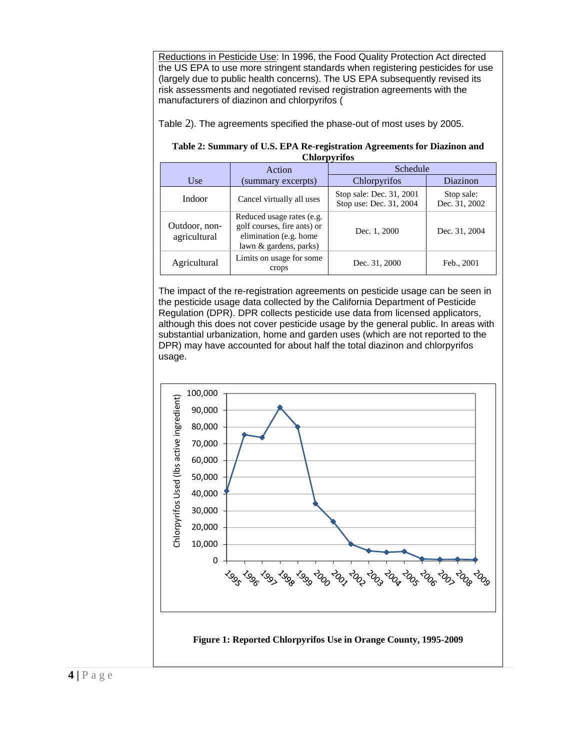Reductions in Pesticide Use: In 1996, the Food Quality Protection Act directed the US EPA to use more stringent standards when registering pesticides for use (largely due to public health concerns). The US EPA subsequently revised its risk assessments and negotiated revised registration agreements with the manufacturers of diazinon and chlorpyrifos [\(](#page-3-0)

[Table](#page-3-0) 2). The agreements specified the phase-out of most uses by 2005.

#### <span id="page-3-0"></span>**Table 2: Summary of U.S. EPA Re-registration Agreements for Diazinon and Chlorpyrifos**

|                               | Action                                                                                                       | xv<br>Schedule                                      |                             |  |  |
|-------------------------------|--------------------------------------------------------------------------------------------------------------|-----------------------------------------------------|-----------------------------|--|--|
| Use                           | (summary excerpts)                                                                                           | Chlorpyrifos                                        | Diazinon                    |  |  |
| Indoor                        | Cancel virtually all uses                                                                                    | Stop sale: Dec. 31, 2001<br>Stop use: Dec. 31, 2004 | Stop sale:<br>Dec. 31, 2002 |  |  |
| Outdoor, non-<br>agricultural | Reduced usage rates (e.g.<br>golf courses, fire ants) or<br>elimination (e.g. home<br>lawn & gardens, parks) | Dec. 1, 2000                                        | Dec. 31, 2004               |  |  |
| Agricultural                  | Limits on usage for some<br>crops                                                                            | Dec. 31, 2000                                       | Feb., 2001                  |  |  |

The impact of the re-registration agreements on pesticide usage can be seen in the pesticide usage data collected by the California Department of Pesticide Regulation (DPR). DPR collects pesticide use data from licensed applicators, although this does not cover pesticide usage by the general public. In areas with substantial urbanization, home and garden uses (which are not reported to the DPR) may have accounted for about half the total diazinon and chlorpyrifos usage.

<span id="page-3-1"></span>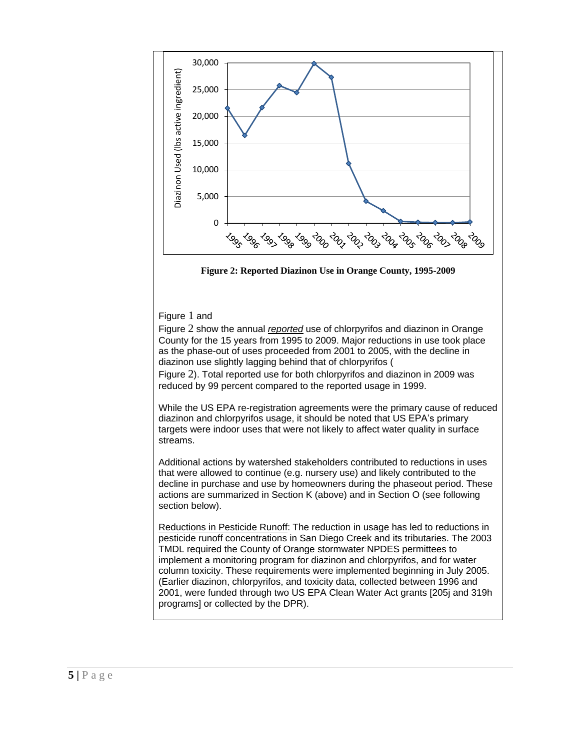

<span id="page-4-0"></span>**Figure 2: Reported Diazinon Use in Orange County, 1995-2009**

#### [Figure](#page-3-1) 1 and

[Figure](#page-4-0) 2 show the annual *reported* use of chlorpyrifos and diazinon in Orange County for the 15 years from 1995 to 2009. Major reductions in use took place as the phase-out of uses proceeded from 2001 to 2005, with the decline in diazinon use slightly lagging behind that of chlorpyrifos [\(](#page-4-0)

[Figure](#page-4-0) 2). Total reported use for both chlorpyrifos and diazinon in 2009 was reduced by 99 percent compared to the reported usage in 1999.

While the US EPA re-registration agreements were the primary cause of reduced diazinon and chlorpyrifos usage, it should be noted that US EPA's primary targets were indoor uses that were not likely to affect water quality in surface streams.

Additional actions by watershed stakeholders contributed to reductions in uses that were allowed to continue (e.g. nursery use) and likely contributed to the decline in purchase and use by homeowners during the phaseout period. These actions are summarized in Section K (above) and in Section O (see following section below).

Reductions in Pesticide Runoff: The reduction in usage has led to reductions in pesticide runoff concentrations in San Diego Creek and its tributaries. The 2003 TMDL required the County of Orange stormwater NPDES permittees to implement a monitoring program for diazinon and chlorpyrifos, and for water column toxicity. These requirements were implemented beginning in July 2005. (Earlier diazinon, chlorpyrifos, and toxicity data, collected between 1996 and 2001, were funded through two US EPA Clean Water Act grants [205j and 319h programs] or collected by the DPR).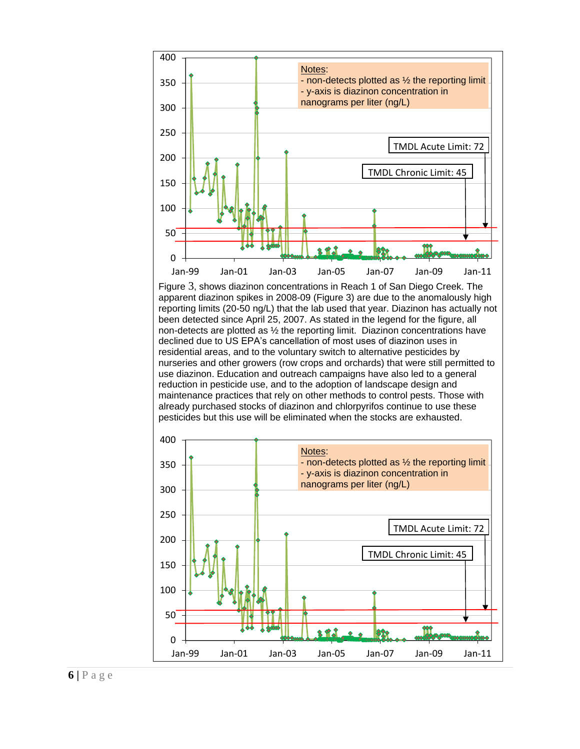<span id="page-5-0"></span>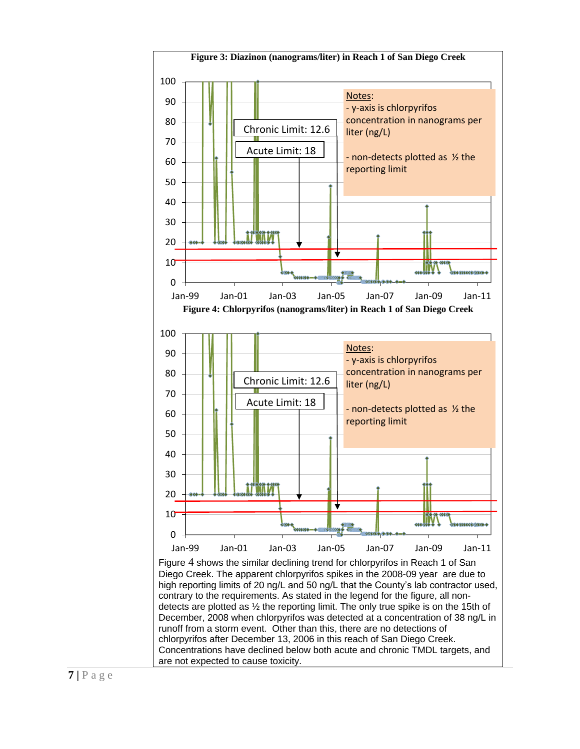<span id="page-6-0"></span>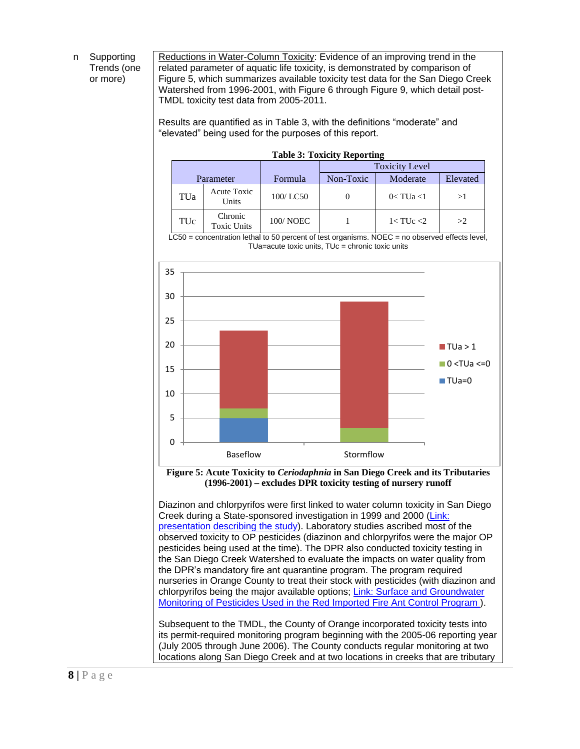n Supporting Trends (one or more)

Reductions in Water-Column Toxicity: Evidence of an improving trend in the related parameter of aquatic life toxicity, is demonstrated by comparison of [Figure 5,](#page-7-0) which summarizes available toxicity test data for the San Diego Creek Watershed from 1996-2001, with [Figure 6](#page-8-0) through [Figure](#page-10-0) 9, which detail post-TMDL toxicity test data from 2005-2011.

Results are quantified as in [Table 3,](#page-7-1) with the definitions "moderate" and "elevated" being used for the purposes of this report.

<span id="page-7-1"></span>

| <b>Table 3: Toxicity Reporting</b> |                               |                 |                       |                  |    |  |  |  |
|------------------------------------|-------------------------------|-----------------|-----------------------|------------------|----|--|--|--|
|                                    |                               |                 | <b>Toxicity Level</b> |                  |    |  |  |  |
| Parameter                          |                               | Formula         | Non-Toxic             | Elevated         |    |  |  |  |
| TUa                                | Acute Toxic<br>Units          | 100/LC50        |                       | $0 < T$ Ua $<$ 1 | >1 |  |  |  |
| TUc                                | Chronic<br><b>Toxic Units</b> | <b>100/NOEC</b> |                       | $1 <$ TUc $<$ 2  | >2 |  |  |  |

LC50 = concentration lethal to 50 percent of test organisms. NOEC = no observed effects level,  $TUa=acute$  toxic units,  $TUc =$  chronic toxic units



<span id="page-7-0"></span>**Figure 5: Acute Toxicity to** *Ceriodaphnia* **in San Diego Creek and its Tributaries (1996-2001) – excludes DPR toxicity testing of nursery runoff**

Diazinon and chlorpyrifos were first linked to water column toxicity in San Diego Creek during a State-sponsored investigation in 1999 and 2000 [\(Link:](http://www.cdpr.ca.gov/docs/emon/surfwtr/presentations/lee_030910.pdf)  [presentation describing the study\)](http://www.cdpr.ca.gov/docs/emon/surfwtr/presentations/lee_030910.pdf). Laboratory studies ascribed most of the observed toxicity to OP pesticides (diazinon and chlorpyrifos were the major OP pesticides being used at the time). The DPR also conducted toxicity testing in the San Diego Creek Watershed to evaluate the impacts on water quality from the DPR's mandatory fire ant quarantine program. The program required nurseries in Orange County to treat their stock with pesticides (with diazinon and chlorpyrifos being the major available options; [Link: Surface and Groundwater](http://www.cdpr.ca.gov/docs/emon/pubs/ehapreps/EH0502.pdf)  [Monitoring of Pesticides Used in the Red Imported Fire Ant Control Program \)](http://www.cdpr.ca.gov/docs/emon/pubs/ehapreps/EH0502.pdf).

Subsequent to the TMDL, the County of Orange incorporated toxicity tests into its permit-required monitoring program beginning with the 2005-06 reporting year (July 2005 through June 2006). The County conducts regular monitoring at two locations along San Diego Creek and at two locations in creeks that are tributary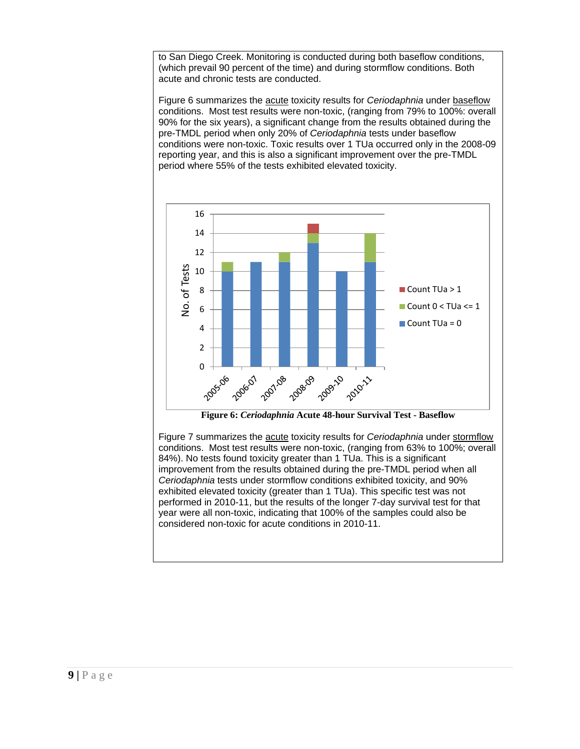to San Diego Creek. Monitoring is conducted during both baseflow conditions, (which prevail 90 percent of the time) and during stormflow conditions. Both acute and chronic tests are conducted.

Figure 6 summarizes the acute toxicity results for *Ceriodaphnia* under baseflow conditions. Most test results were non-toxic, (ranging from 79% to 100%: overall 90% for the six years), a significant change from the results obtained during the pre-TMDL period when only 20% of *Ceriodaphnia* tests under baseflow conditions were non-toxic. Toxic results over 1 TUa occurred only in the 2008-09 reporting year, and this is also a significant improvement over the pre-TMDL period where 55% of the tests exhibited elevated toxicity.



<span id="page-8-0"></span>Figure 7 summarizes the acute toxicity results for *Ceriodaphnia* under stormflow conditions. Most test results were non-toxic, (ranging from 63% to 100%; overall 84%). No tests found toxicity greater than 1 TUa. This is a significant improvement from the results obtained during the pre-TMDL period when all *Ceriodaphnia* tests under stormflow conditions exhibited toxicity, and 90% exhibited elevated toxicity (greater than 1 TUa). This specific test was not performed in 2010-11, but the results of the longer 7-day survival test for that year were all non-toxic, indicating that 100% of the samples could also be considered non-toxic for acute conditions in 2010-11.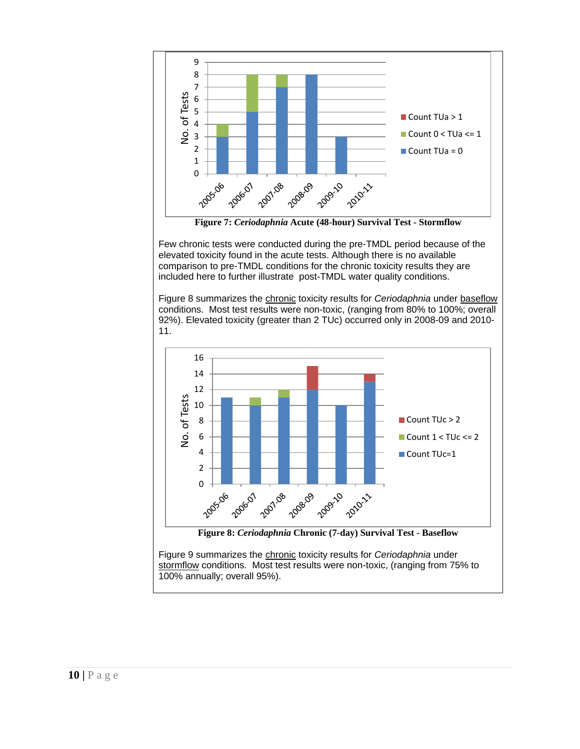

**Figure 7:** *Ceriodaphnia* **Acute (48-hour) Survival Test - Stormflow**

Few chronic tests were conducted during the pre-TMDL period because of the elevated toxicity found in the acute tests. Although there is no available comparison to pre-TMDL conditions for the chronic toxicity results they are included here to further illustrate post-TMDL water quality conditions.

Figure 8 summarizes the chronic toxicity results for *Ceriodaphnia* under baseflow conditions. Most test results were non-toxic, (ranging from 80% to 100%; overall 92%). Elevated toxicity (greater than 2 TUc) occurred only in 2008-09 and 2010- 11.



Figure 9 summarizes the chronic toxicity results for *Ceriodaphnia* under

stormflow conditions. Most test results were non-toxic, (ranging from 75% to 100% annually; overall 95%).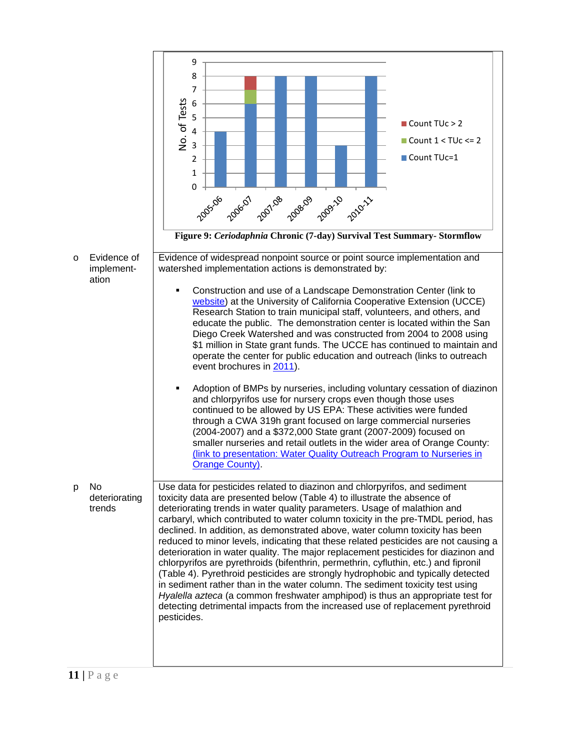<span id="page-10-0"></span>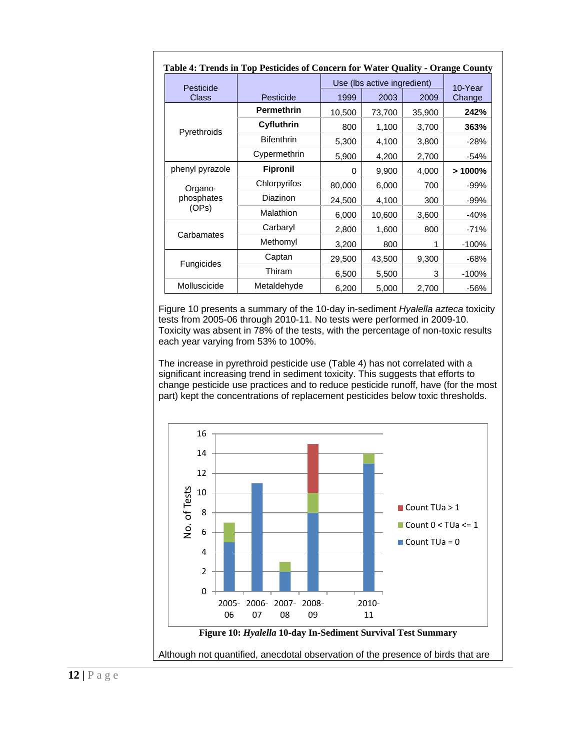<span id="page-11-0"></span>

| Table 4: Trends in Top Pesticides of Concern for Water Quality - Orange County |                   |                             |        |        |           |  |  |
|--------------------------------------------------------------------------------|-------------------|-----------------------------|--------|--------|-----------|--|--|
| Pesticide                                                                      |                   | Use (lbs active ingredient) |        |        | 10-Year   |  |  |
| <b>Class</b>                                                                   | Pesticide         | 1999                        | 2003   | 2009   | Change    |  |  |
|                                                                                | <b>Permethrin</b> | 10,500                      | 73,700 | 35,900 | 242%      |  |  |
|                                                                                | Cyfluthrin        | 800                         | 1,100  | 3,700  | 363%      |  |  |
| Pyrethroids                                                                    | <b>Bifenthrin</b> | 5,300                       | 4,100  | 3,800  | -28%      |  |  |
|                                                                                | Cypermethrin      | 5,900                       | 4,200  | 2,700  | -54%      |  |  |
| phenyl pyrazole                                                                | <b>Fipronil</b>   | 0                           | 9,900  | 4,000  | $>1000\%$ |  |  |
| Organo-                                                                        | Chlorpyrifos      | 80,000                      | 6,000  | 700    | -99%      |  |  |
| phosphates                                                                     | Diazinon          | 24,500                      | 4,100  | 300    | -99%      |  |  |
| (OPs)                                                                          | Malathion         | 6,000                       | 10,600 | 3,600  | $-40%$    |  |  |
|                                                                                | Carbaryl          | 2,800                       | 1,600  | 800    | $-71%$    |  |  |
| Carbamates                                                                     | Methomyl          | 3,200                       | 800    | 1      | $-100%$   |  |  |
|                                                                                | Captan            | 29,500                      | 43,500 | 9,300  | $-68%$    |  |  |
| Fungicides                                                                     | Thiram            | 6,500                       | 5,500  | 3      | $-100%$   |  |  |
| Molluscicide                                                                   | Metaldehyde       | 6,200                       | 5,000  | 2,700  | $-56%$    |  |  |

[Figure 10](#page-11-1) presents a summary of the 10-day in-sediment *Hyalella azteca* toxicity tests from 2005-06 through 2010-11. No tests were performed in 2009-10. Toxicity was absent in 78% of the tests, with the percentage of non-toxic results each year varying from 53% to 100%.

The increase in pyrethroid pesticide use [\(Table 4\)](#page-11-0) has not correlated with a significant increasing trend in sediment toxicity. This suggests that efforts to change pesticide use practices and to reduce pesticide runoff, have (for the most part) kept the concentrations of replacement pesticides below toxic thresholds.

<span id="page-11-1"></span>